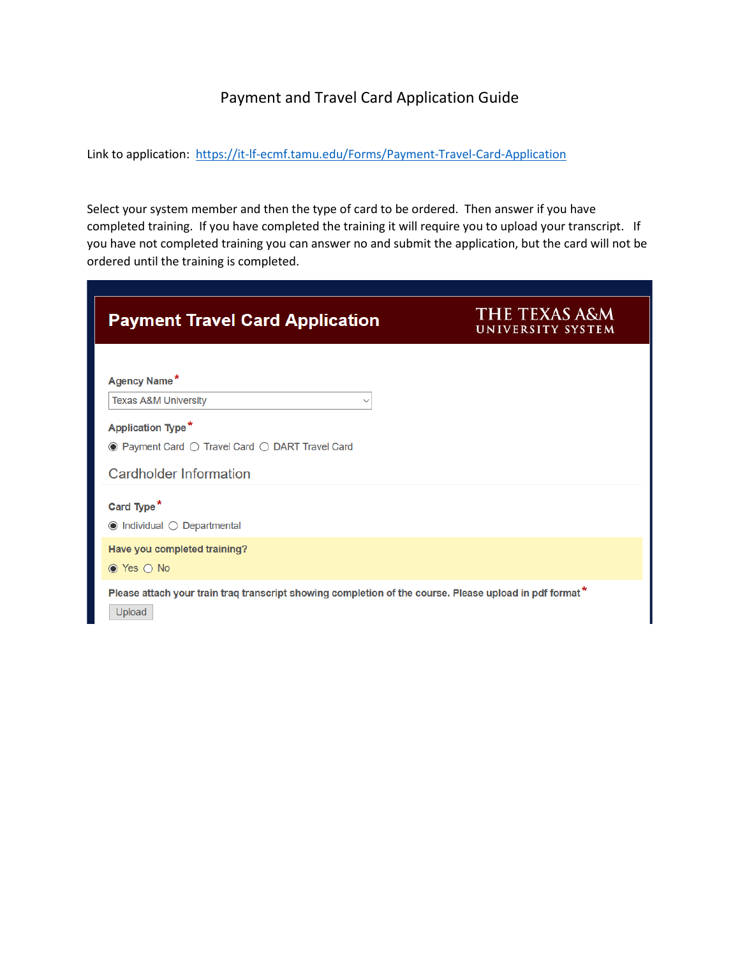## Payment and Travel Card Application Guide

Link to application: <https://it-lf-ecmf.tamu.edu/Forms/Payment-Travel-Card-Application>

Select your system member and then the type of card to be ordered. Then answer if you have completed training. If you have completed the training it will require you to upload your transcript. If you have not completed training you can answer no and submit the application, but the card will not be ordered until the training is completed.

| <b>Payment Travel Card Application</b>                                                                                                            | <b>THE TEXAS A&amp;M</b><br>UNIVERSITY SYSTEM |
|---------------------------------------------------------------------------------------------------------------------------------------------------|-----------------------------------------------|
| Agency Name*<br><b>Texas A&amp;M University</b><br>$\checkmark$                                                                                   |                                               |
| <b>Application Type*</b><br>$\bullet$ Payment Card $\circlearrowright$ Travel Card $\circlearrowright$ DART Travel Card<br>Cardholder Information |                                               |
| Card Type <sup>*</sup><br>$\odot$ Individual $\odot$ Departmental                                                                                 |                                               |
| Have you completed training?<br>$\odot$ Yes $\odot$ No                                                                                            |                                               |
| Please attach your train traq transcript showing completion of the course. Please upload in pdf format*<br>Upload                                 |                                               |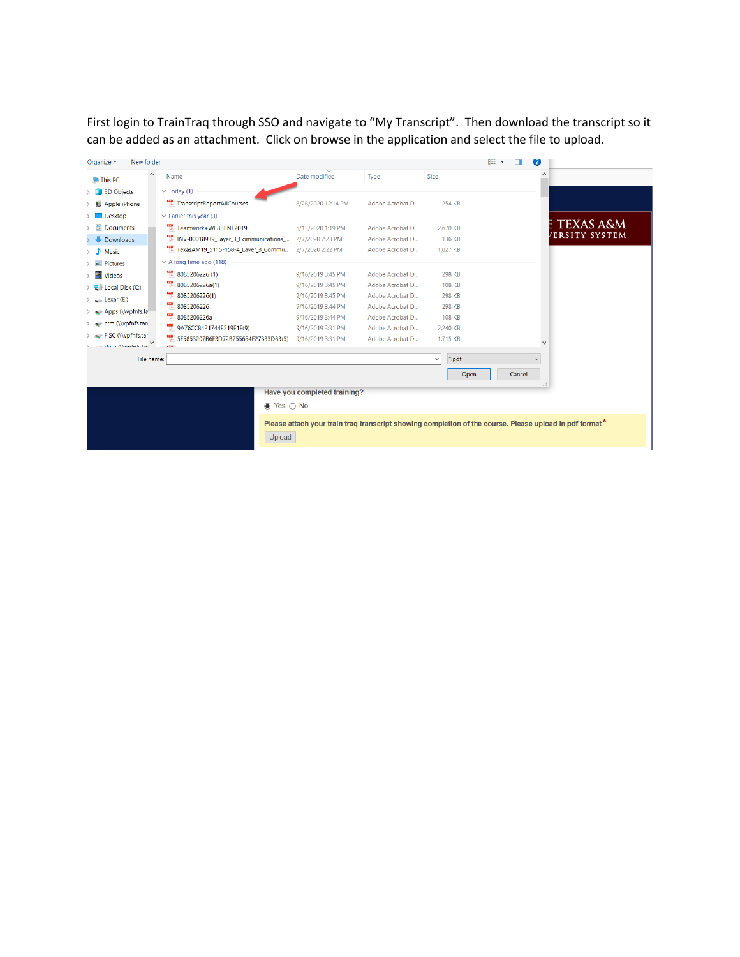First login to TrainTraq through SSO and navigate to "My Transcript". Then download the transcript so it can be added as an attachment. Click on browse in the application and select the file to upload.

| New folder<br>Organize -      |                                             |                                        |                                    |                           | <b>IE</b><br>. ? .                                                                                      |
|-------------------------------|---------------------------------------------|----------------------------------------|------------------------------------|---------------------------|---------------------------------------------------------------------------------------------------------|
| $\hat{}$<br>This PC           | Name                                        | Date modified                          | Type                               | Size                      | $\wedge$                                                                                                |
| 3D Objects                    | $\vee$ Today (1)                            |                                        |                                    |                           |                                                                                                         |
| Apple iPhone                  | TranscriptReportAllCourses                  | 8/26/2020 12:14 PM                     | Adobe Acrobat D                    | 254 KB                    |                                                                                                         |
| $\Box$ Desktop                | $\vee$ Earlier this year (3)                |                                        |                                    |                           |                                                                                                         |
| 蛗<br><b>Documents</b>         | Teamwork+WE8BENE2019                        | 5/13/2020 1:19 PM                      | Adobe Acrobat D                    | 2,670 KB                  | TEXAS A&M                                                                                               |
| Downloads                     | INV-00018939_Layer_3_Communications_        | 2/7/2020 2:23 PM                       | Adobe Acrobat D                    | 136 KB                    | <b>/ERSITY SYSTEM</b>                                                                                   |
| Music<br>J.                   | TexasAM19_5115-158-4_Layer_3_Commu          | 2/7/2020 2:22 PM                       | Adobe Acrobat D                    | 1.027 KB                  |                                                                                                         |
| $\blacksquare$ Pictures       | $\vee$ A long time ago (118)                |                                        |                                    |                           |                                                                                                         |
| <b>Videos</b>                 | ъ.<br>8085206226 (1)                        | 9/16/2019 3:45 PM                      | Adobe Acrobat D                    | 298 KB                    |                                                                                                         |
| $\frac{1}{2}$ Local Disk (C:) | 8085206226a(1)                              | 9/16/2019 3:45 PM                      | Adobe Acrobat D                    | <b>108 KB</b>             |                                                                                                         |
| $\angle$ Lexar (E:)           | 8085206226(1)                               | 9/16/2019 3:45 PM                      | Adobe Acrobat D                    | 298 KB                    |                                                                                                         |
| Apps (\\vpfnfs.ta             | 쩃<br>8085206226                             | 9/16/2019 3:44 PM                      | Adobe Acrobat D                    | 298 KB                    |                                                                                                         |
| crm (\\vpfnfs.tan             | 뼸<br>8085206226a<br>9A76CC84B1744E319E1F(9) | 9/16/2019 3:44 PM<br>9/16/2019 3:31 PM | Adobe Acrobat D                    | <b>108 KB</b><br>2.240 KB |                                                                                                         |
| FISC (\\vpfnfs.tar            | 뼧<br>5F5853207B6F3D72B755654E27333D83(5)    | 9/16/2019 3:31 PM                      | Adobe Acrobat D<br>Adobe Acrobat D | 1,715 KB                  |                                                                                                         |
| $d$ nta $\Lambda$ limfafatai  |                                             |                                        |                                    |                           | Ü                                                                                                       |
| File name:                    |                                             |                                        |                                    | *.pdf<br>$\checkmark$     | $\checkmark$                                                                                            |
|                               |                                             |                                        |                                    | Open                      | Cancel                                                                                                  |
|                               |                                             | Have you completed training?           |                                    |                           |                                                                                                         |
|                               | $\bullet$ Yes $\circ$ No                    |                                        |                                    |                           |                                                                                                         |
|                               |                                             |                                        |                                    |                           | Please attach your train traq transcript showing completion of the course. Please upload in pdf format* |
|                               | Upload                                      |                                        |                                    |                           |                                                                                                         |
|                               |                                             |                                        |                                    |                           |                                                                                                         |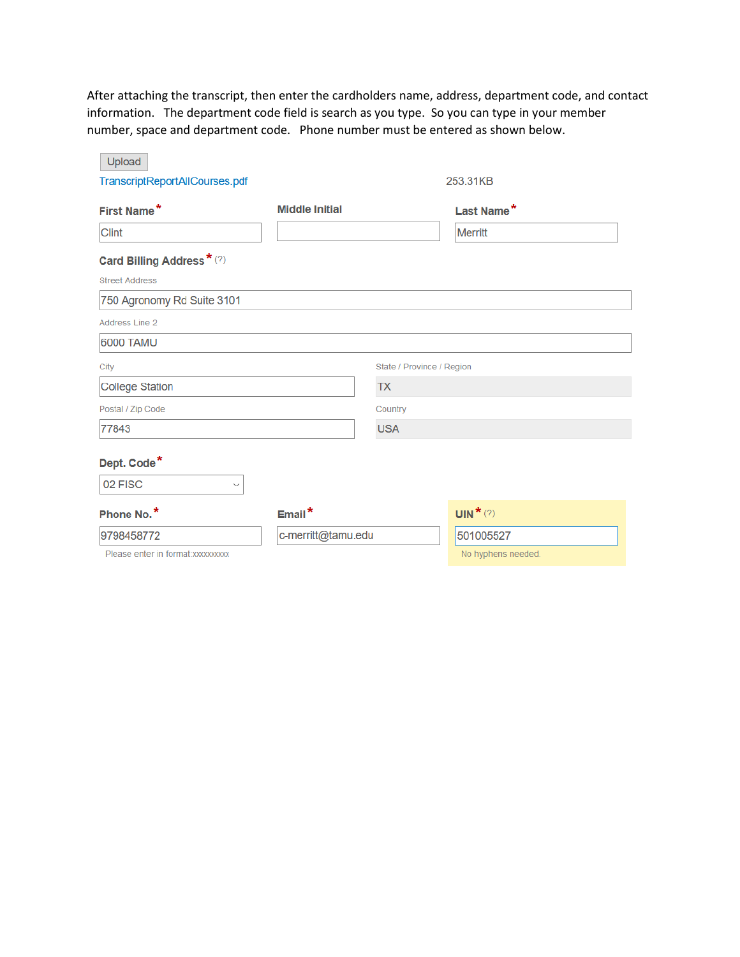After attaching the transcript, then enter the cardholders name, address, department code, and contact information. The department code field is search as you type. So you can type in your member number, space and department code. Phone number must be entered as shown below.

| TranscriptReportAllCourses.pdf     |                       |                           | 253.31KB               |
|------------------------------------|-----------------------|---------------------------|------------------------|
| First Name*                        | <b>Middle Initial</b> |                           | Last Name*             |
| <b>Clint</b>                       |                       |                           | <b>Merritt</b>         |
| Card Billing Address* (?)          |                       |                           |                        |
| <b>Street Address</b>              |                       |                           |                        |
| 750 Agronomy Rd Suite 3101         |                       |                           |                        |
| Address Line 2                     |                       |                           |                        |
| 6000 TAMU                          |                       |                           |                        |
| City                               |                       | State / Province / Region |                        |
| <b>College Station</b>             |                       | <b>TX</b>                 |                        |
| Postal / Zip Code                  |                       | Country                   |                        |
| 77843                              |                       | <b>USA</b>                |                        |
| Dept. Code*                        |                       |                           |                        |
| 02 FISC<br>$\checkmark$            |                       |                           |                        |
| Phone No.*                         | Email*                |                           | UIN <sup>*</sup> $(?)$ |
| 9798458772                         | c-merritt@tamu.edu    |                           | 501005527              |
| Please enter in format: xxxxxxxxxx |                       |                           | No hyphens needed.     |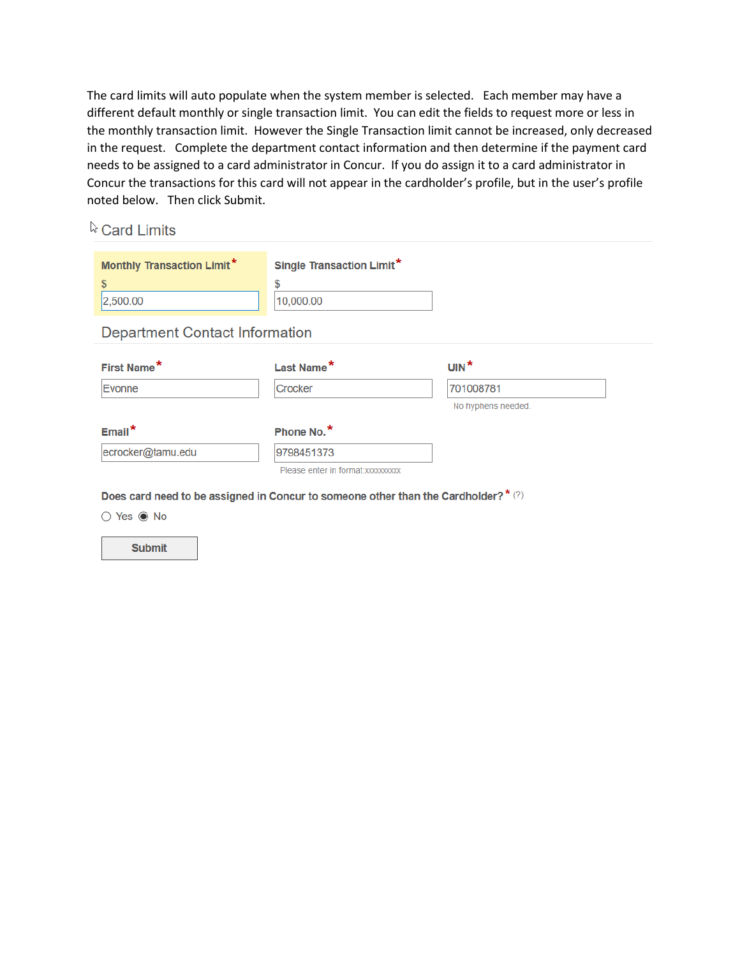The card limits will auto populate when the system member is selected. Each member may have a different default monthly or single transaction limit. You can edit the fields to request more or less in the monthly transaction limit. However the Single Transaction limit cannot be increased, only decreased in the request. Complete the department contact information and then determine if the payment card needs to be assigned to a card administrator in Concur. If you do assign it to a card administrator in Concur the transactions for this card will not appear in the cardholder's profile, but in the user's profile noted below. Then click Submit.

|  | & Card Limits |  |  |  |
|--|---------------|--|--|--|
|--|---------------|--|--|--|

| Monthly Transaction Limit*<br>\$<br>2,500.00 | <b>Single Transaction Limit*</b><br>\$<br>10,000.00 |                    |
|----------------------------------------------|-----------------------------------------------------|--------------------|
| <b>Department Contact Information</b>        |                                                     |                    |
| First Name*                                  | Last Name*                                          | $UN^*$             |
| <b>Evonne</b>                                | Crocker                                             | 701008781          |
|                                              |                                                     | No hyphens needed. |
| $Email*$                                     | Phone No.*                                          |                    |
|                                              |                                                     |                    |
| ecrocker@tamu.edu                            | 9798451373                                          |                    |

○ Yes ● No

**Submit**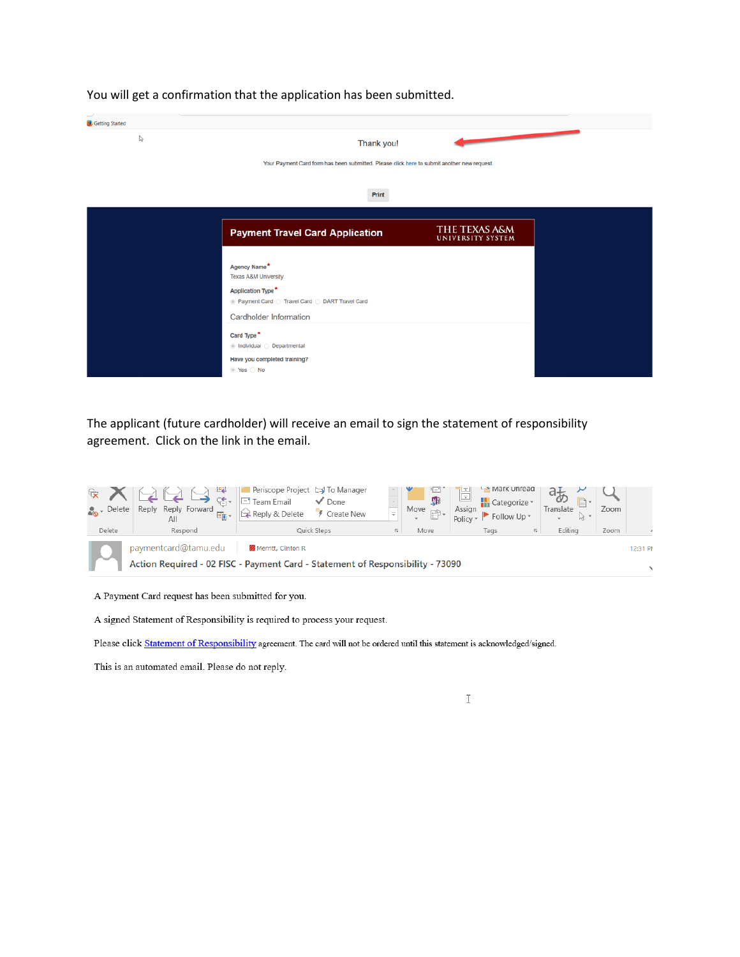| <b>B</b> Getting Started |                                                                                             |                                    |  |
|--------------------------|---------------------------------------------------------------------------------------------|------------------------------------|--|
| ↳                        | Thank you!                                                                                  |                                    |  |
|                          | Your Payment Card form has been submitted. Please click here to submit another new request. |                                    |  |
|                          |                                                                                             |                                    |  |
|                          | Print                                                                                       |                                    |  |
|                          |                                                                                             |                                    |  |
|                          | <b>Payment Travel Card Application</b>                                                      | THE TEXAS A&M<br>UNIVERSITY SYSTEM |  |
|                          |                                                                                             |                                    |  |
|                          | Agency Name*<br>Texas A&M University                                                        |                                    |  |
|                          | Application Type*                                                                           |                                    |  |
|                          |                                                                                             |                                    |  |
|                          | Cardholder Information                                                                      |                                    |  |
|                          | Card Type <sup>*</sup>                                                                      |                                    |  |
|                          | lndividual  O Departmental                                                                  |                                    |  |
|                          | Have you completed training?<br>◎ Yes ○ No                                                  |                                    |  |

You will get a confirmation that the application has been submitted.

The applicant (future cardholder) will receive an email to sign the statement of responsibility agreement. Click on the link in the email.



A Payment Card request has been submitted for you.

A signed Statement of Responsibility is required to process your request.

Please click Statement of Responsibility agreement. The card will not be ordered until this statement is acknowledged/signed.

This is an automated email. Please do not reply.

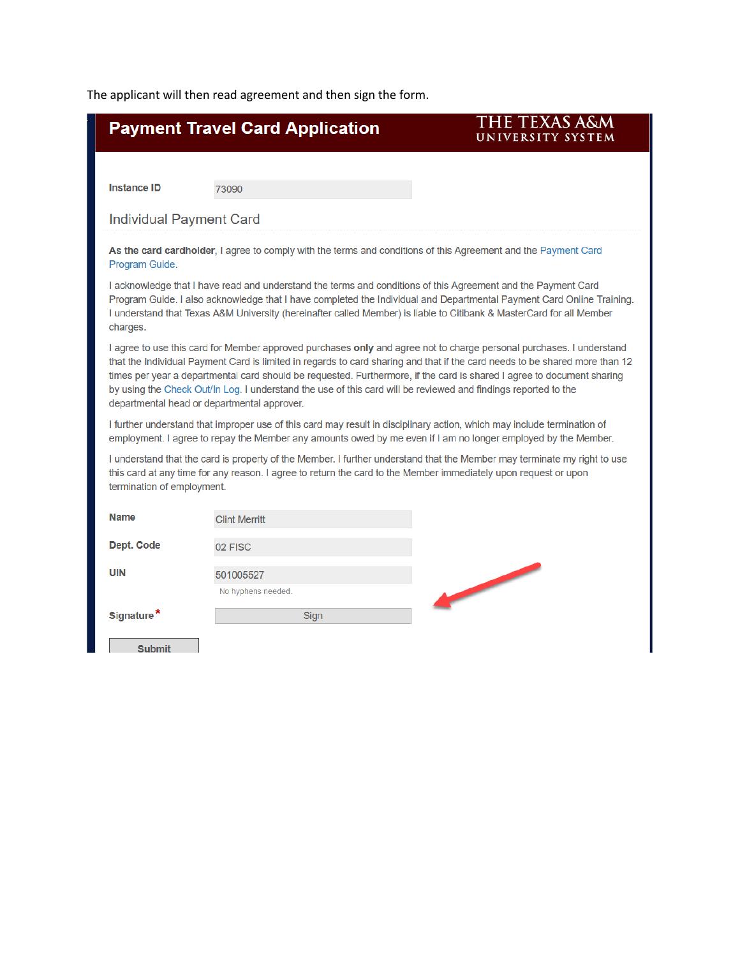The applicant will then read agreement and then sign the form.

|                                             | <b>Payment Travel Card Application</b>                                                                                                                                                                                                                                                                                                                                                                                                                                                          | THE TEXAS A&M<br>UNIVERSITY SYSTEM |
|---------------------------------------------|-------------------------------------------------------------------------------------------------------------------------------------------------------------------------------------------------------------------------------------------------------------------------------------------------------------------------------------------------------------------------------------------------------------------------------------------------------------------------------------------------|------------------------------------|
|                                             |                                                                                                                                                                                                                                                                                                                                                                                                                                                                                                 |                                    |
| <b>Instance ID</b>                          | 73090                                                                                                                                                                                                                                                                                                                                                                                                                                                                                           |                                    |
| <b>Individual Payment Card</b>              |                                                                                                                                                                                                                                                                                                                                                                                                                                                                                                 |                                    |
| Program Guide.                              | As the card cardholder, I agree to comply with the terms and conditions of this Agreement and the Payment Card                                                                                                                                                                                                                                                                                                                                                                                  |                                    |
| charges.                                    | I acknowledge that I have read and understand the terms and conditions of this Agreement and the Payment Card<br>Program Guide. I also acknowledge that I have completed the Individual and Departmental Payment Card Online Training.<br>I understand that Texas A&M University (hereinafter called Member) is liable to Citibank & MasterCard for all Member                                                                                                                                  |                                    |
| departmental head or departmental approver. | I agree to use this card for Member approved purchases only and agree not to charge personal purchases. I understand<br>that the Individual Payment Card is limited in regards to card sharing and that if the card needs to be shared more than 12<br>times per year a departmental card should be requested. Furthermore, if the card is shared I agree to document sharing<br>by using the Check Out/In Log. I understand the use of this card will be reviewed and findings reported to the |                                    |
|                                             | I further understand that improper use of this card may result in disciplinary action, which may include termination of<br>employment. I agree to repay the Member any amounts owed by me even if I am no longer employed by the Member.                                                                                                                                                                                                                                                        |                                    |
| termination of employment.                  | I understand that the card is property of the Member. I further understand that the Member may terminate my right to use<br>this card at any time for any reason. I agree to return the card to the Member immediately upon request or upon                                                                                                                                                                                                                                                     |                                    |
| <b>Name</b>                                 | <b>Clint Merritt</b>                                                                                                                                                                                                                                                                                                                                                                                                                                                                            |                                    |
| Dept. Code                                  | 02 FISC                                                                                                                                                                                                                                                                                                                                                                                                                                                                                         |                                    |
| <b>UIN</b>                                  | 501005527<br>No hyphens needed.                                                                                                                                                                                                                                                                                                                                                                                                                                                                 |                                    |
| Signature*                                  | Sign                                                                                                                                                                                                                                                                                                                                                                                                                                                                                            |                                    |
| <b>Submit</b>                               |                                                                                                                                                                                                                                                                                                                                                                                                                                                                                                 |                                    |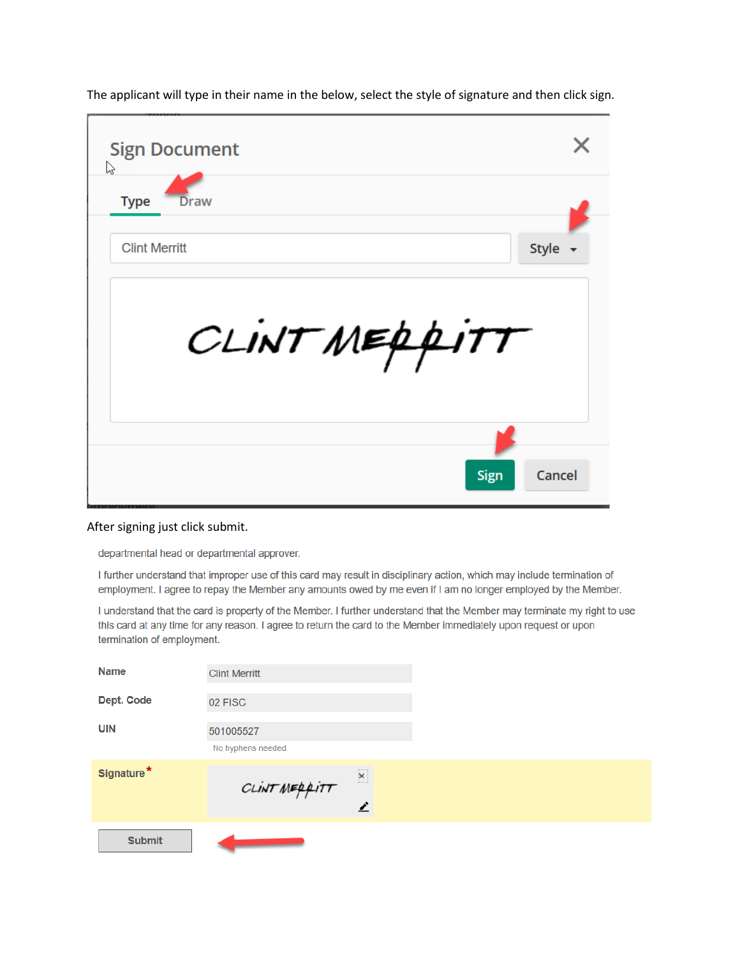| <b>Sign Document</b><br>ß |              |
|---------------------------|--------------|
| <b>Type</b><br>Draw       |              |
| <b>Clint Merritt</b>      | Style $\sim$ |
| CLINTMEPPITT              |              |
|                           |              |

The applicant will type in their name in the below, select the style of signature and then click sign.

## After signing just click submit.

departmental head or departmental approver.

I further understand that improper use of this card may result in disciplinary action, which may include termination of employment. I agree to repay the Member any amounts owed by me even if I am no longer employed by the Member.

I understand that the card is property of the Member. I further understand that the Member may terminate my right to use this card at any time for any reason. I agree to return the card to the Member immediately upon request or upon termination of employment.

| <b>Name</b>   | <b>Clint Merritt</b>            |               |
|---------------|---------------------------------|---------------|
| Dept. Code    | 02 FISC                         |               |
| UIN           | 501005527<br>No hyphens needed. |               |
| Signature*    | CLINTMEPPITT                    | $\times$<br>◢ |
| <b>Submit</b> |                                 |               |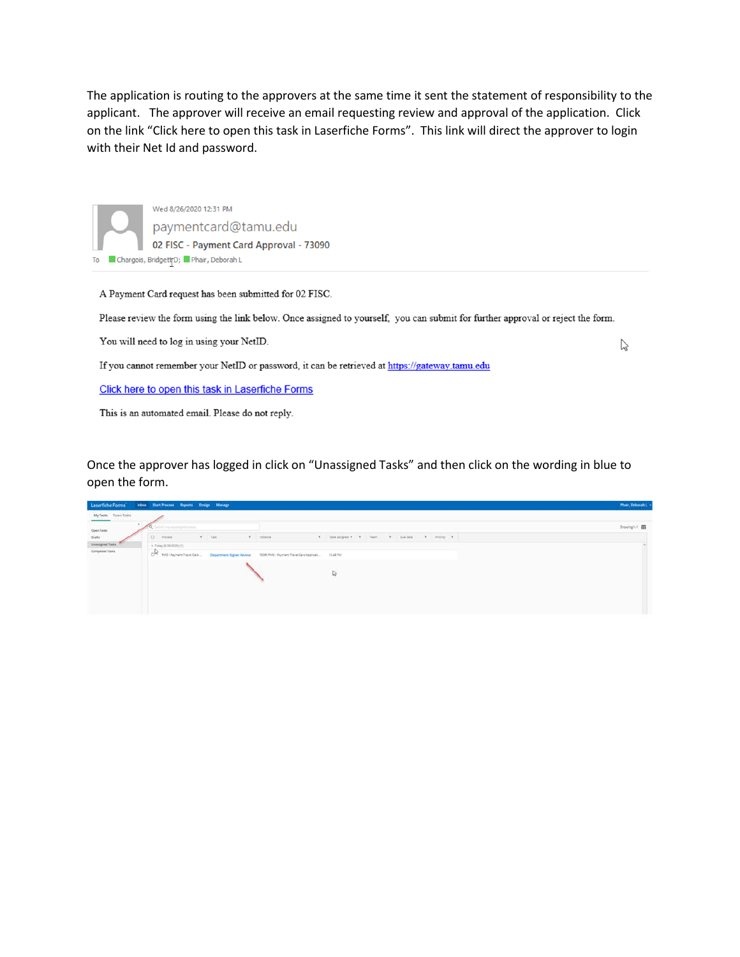The application is routing to the approvers at the same time it sent the statement of responsibility to the applicant. The approver will receive an email requesting review and approval of the application. Click on the link "Click here to open this task in Laserfiche Forms". This link will direct the approver to login with their Net Id and password.

Wed 8/26/2020 12:31 PM paymentcard@tamu.edu 02 FISC - Payment Card Approval - 73090 To **Chargois, Bridgett D; Phair, Deborah L** 

A Payment Card request has been submitted for 02 FISC.

Please review the form using the link below. Once assigned to yourself, you can submit for further approval or reject the form.

 $\mathbb{Z}$ 

You will need to log in using your NetID.

If you cannot remember your NetID or password, it can be retrieved at https://gateway.tamu.edu

Click here to open this task in Laserfiche Forms

This is an automated email. Please do not reply.

Once the approver has logged in click on "Unassigned Tasks" and then click on the wording in blue to open the form.

| Laserfiche Forms                                               | <b>Inbox StartProcess Reports Design Manage</b>                                                                                                                                                                               | Phair, Debarah L |
|----------------------------------------------------------------|-------------------------------------------------------------------------------------------------------------------------------------------------------------------------------------------------------------------------------|------------------|
| My Tasks Team Tasks                                            |                                                                                                                                                                                                                               |                  |
|                                                                | County of the American Party                                                                                                                                                                                                  | Showing L.C. III |
| $\begin{array}{l} \text{Open Test} \\ \text{Dvar} \end{array}$ | $T$ . Task<br>T. Insign<br>D Presse<br>$\mathbf{Y} = \text{Dovimipar}(\mathbf{x} - \mathbf{Y} - \text{Var}(\mathbf{x} - \mathbf{Y} - \text{Der}(\mathbf{x} - \mathbf{Y} - \text{Per}(\mathbf{y} - \mathbf{Y} - \mathbf{Y})))$ |                  |
| <b>Univigend Tasks</b>                                         | > Today (8/26/2020) (1)                                                                                                                                                                                                       |                  |
| Completed Tasks                                                | OR NO remember Cent. Department Signer Review<br>55090 FMD - Payment Trevel Card Applicat  12-22 PM                                                                                                                           |                  |
|                                                                |                                                                                                                                                                                                                               |                  |
|                                                                | $\frac{1}{2}$                                                                                                                                                                                                                 |                  |
|                                                                |                                                                                                                                                                                                                               |                  |
|                                                                |                                                                                                                                                                                                                               |                  |
|                                                                |                                                                                                                                                                                                                               |                  |
|                                                                |                                                                                                                                                                                                                               |                  |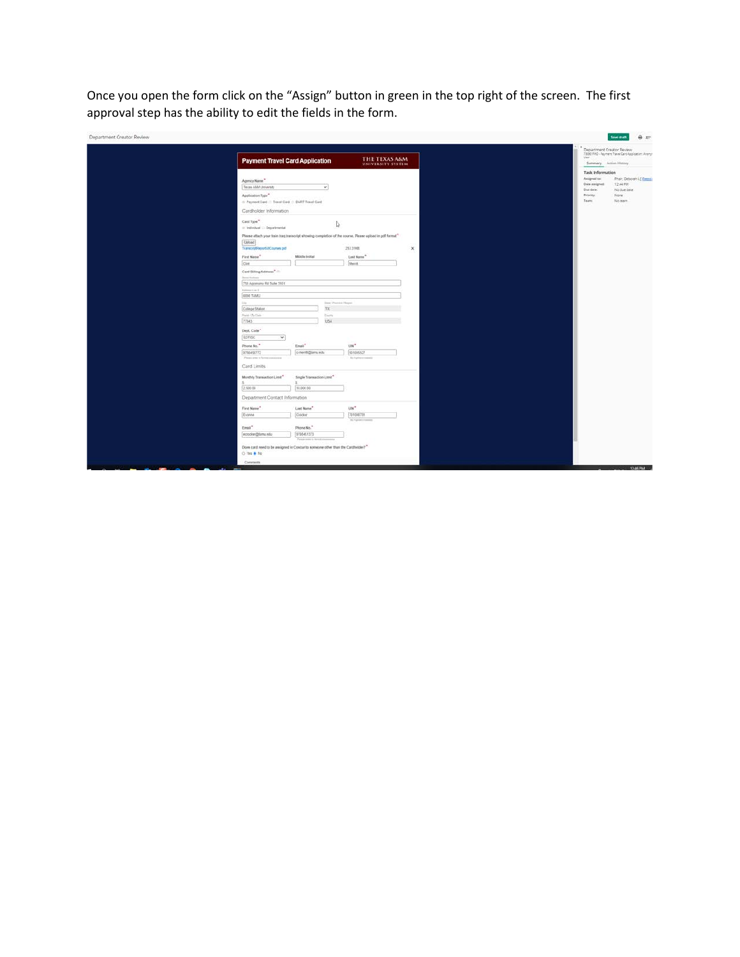Once you open the form click on the "Assign" button in green in the top right of the screen. The first approval step has the ability to edit the fields in the form.

| Department Creator Review |                                                                                                                                                    |                                            |                                       |                          |             |  |                                                    | $\theta x$<br>Save draft                               |
|---------------------------|----------------------------------------------------------------------------------------------------------------------------------------------------|--------------------------------------------|---------------------------------------|--------------------------|-------------|--|----------------------------------------------------|--------------------------------------------------------|
|                           | <b>Payment Travel Card Application</b>                                                                                                             |                                            |                                       | THE TEXAS A&M            |             |  | Department Creator Review<br>Lisan                 | 73090 FMQ - Payment Travel Card Application: Amonym    |
|                           |                                                                                                                                                    |                                            |                                       | <b>UNIVERSITY SYSTEM</b> |             |  | Summary Action History                             |                                                        |
|                           |                                                                                                                                                    |                                            |                                       |                          |             |  | <b>Task Information</b>                            |                                                        |
|                           | Agency Name"<br>Texas AMM University                                                                                                               |                                            | $\check{\mathbf{v}}$                  |                          |             |  | Assigned to:<br><b>Oute assigned:</b><br>Due date: | Phair, Deborah I. ( Finnsa)<br>12:44 PM<br>No due date |
|                           | Application Type"<br>A Payment Card (1) Travel Card (1) DART Travel Card                                                                           |                                            |                                       |                          |             |  | Priority:<br>Team.                                 | None.<br>No team                                       |
|                           | Cardholder Information                                                                                                                             |                                            |                                       |                          |             |  |                                                    |                                                        |
|                           | Card Type<br>iii Individual : Departmental                                                                                                         |                                            | 1                                     |                          |             |  |                                                    |                                                        |
|                           | Please attach your frain frag transcript showing completion of the course. Please opload in pdf format"<br>Upload<br>TranscriptReportARCourses.pdf |                                            | 253.21920                             |                          | $\mathbf x$ |  |                                                    |                                                        |
|                           | First Name <sup>*</sup>                                                                                                                            | Middle Initial                             | Last Name <sup>**</sup>               |                          |             |  |                                                    |                                                        |
|                           | Cist                                                                                                                                               |                                            | Merritt.                              |                          |             |  |                                                    |                                                        |
|                           | Card Billing Address " (1)                                                                                                                         |                                            |                                       |                          |             |  |                                                    |                                                        |
|                           | <b>Breat Robins</b>                                                                                                                                |                                            |                                       |                          |             |  |                                                    |                                                        |
|                           | 750 Agronomy Rd Suite 3101                                                                                                                         |                                            |                                       |                          |             |  |                                                    |                                                        |
|                           | Approved a w 3<br>6000 TAMU                                                                                                                        |                                            |                                       |                          |             |  |                                                    |                                                        |
|                           | $\frac{1}{2}$                                                                                                                                      |                                            | Steel Photosis   Super                |                          |             |  |                                                    |                                                        |
|                           | College Station                                                                                                                                    |                                            | $\overline{\rm{16}}$                  |                          |             |  |                                                    |                                                        |
|                           | Frank L'Ea Chin                                                                                                                                    |                                            | <b>Electric</b>                       |                          |             |  |                                                    |                                                        |
|                           | 77843                                                                                                                                              |                                            | USA                                   |                          |             |  |                                                    |                                                        |
|                           |                                                                                                                                                    |                                            |                                       |                          |             |  |                                                    |                                                        |
|                           | Dept. Code"<br>$\mathcal{A}$<br>02 PrSC                                                                                                            |                                            |                                       |                          |             |  |                                                    |                                                        |
|                           |                                                                                                                                                    |                                            |                                       |                          |             |  |                                                    |                                                        |
|                           | Phone No."                                                                                                                                         | Emai <sup>4</sup>                          | uw*                                   |                          |             |  |                                                    |                                                        |
|                           | 9796458772<br>Plants arter to formal constraints                                                                                                   | c-menti@tansi edu                          | 501005527<br>No harmon research       |                          |             |  |                                                    |                                                        |
|                           | Card Limits                                                                                                                                        |                                            |                                       |                          |             |  |                                                    |                                                        |
|                           | Monthly Transaction Linit"                                                                                                                         | Single Transaction Limit"                  |                                       |                          |             |  |                                                    |                                                        |
|                           | 2,500.00                                                                                                                                           | 10,000.00                                  |                                       |                          |             |  |                                                    |                                                        |
|                           | Department Contact Information                                                                                                                     |                                            |                                       |                          |             |  |                                                    |                                                        |
|                           | First Name <sup>*</sup>                                                                                                                            | Last Name"                                 | $un^*$                                |                          |             |  |                                                    |                                                        |
|                           | Evonne                                                                                                                                             | Crocker                                    | 701008781<br>The Vanisher is surround |                          |             |  |                                                    |                                                        |
|                           | Email."                                                                                                                                            | Phone No."                                 |                                       |                          |             |  |                                                    |                                                        |
|                           | nosciar@tamu.edu                                                                                                                                   | 9798451373<br>Paint were in Investmentally |                                       |                          |             |  |                                                    |                                                        |
|                           | Does card need to be assigned in Concur to someone other than the Cardbolder?"<br>0 191 8 10                                                       |                                            |                                       |                          |             |  |                                                    |                                                        |
|                           | Comments                                                                                                                                           |                                            |                                       |                          |             |  |                                                    |                                                        |
|                           |                                                                                                                                                    |                                            |                                       |                          |             |  |                                                    | 1246 PM                                                |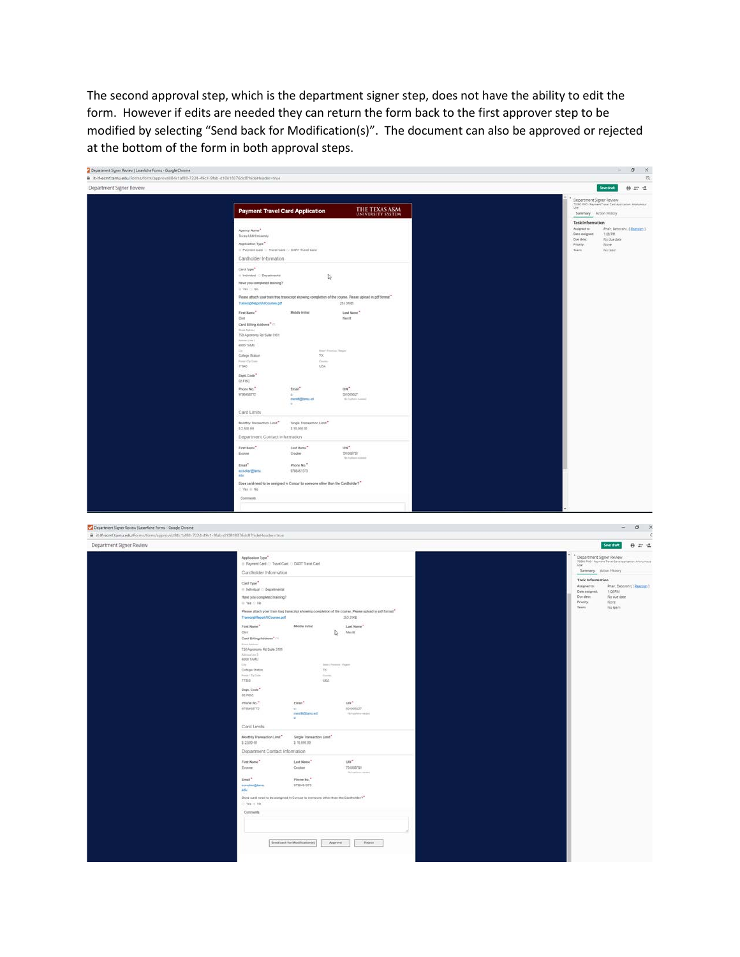The second approval step, which is the department signer step, does not have the ability to edit the form. However if edits are needed they can return the form back to the first approver step to be modified by selecting "Send back for Modification(s)". The document can also be approved or rejected at the bottom of the form in both approval steps.

| Department Signer Review   Laserfiche Forms - Google Chrome                                      |                                                                                                               |                                          |                                                                                                                                                                                                   | $0 \times$<br>$=$                                                                      |
|--------------------------------------------------------------------------------------------------|---------------------------------------------------------------------------------------------------------------|------------------------------------------|---------------------------------------------------------------------------------------------------------------------------------------------------------------------------------------------------|----------------------------------------------------------------------------------------|
| iii it-If-ecmf.tamu.edu/Forms/form/approval/84c1af88-7224-49c1-9fab-d10818376dc8?hideHeader=true |                                                                                                               |                                          |                                                                                                                                                                                                   | $\alpha$                                                                               |
| Department Signer Review                                                                         |                                                                                                               |                                          |                                                                                                                                                                                                   | $0 \ncong 4$<br>Save draft                                                             |
|                                                                                                  |                                                                                                               |                                          |                                                                                                                                                                                                   | Department Signer Review<br>2006 PAS - Payment Trans Cent Approximity Amerymous<br>Use |
|                                                                                                  | <b>Payment Travel Card Application</b>                                                                        |                                          | THE TEXAS A&M                                                                                                                                                                                     | Summary Action History                                                                 |
|                                                                                                  |                                                                                                               |                                          |                                                                                                                                                                                                   | <b>Task Information</b><br>Assigned to:<br>Phair, Deborah L ( Enzigit) 1               |
|                                                                                                  | Agency Name"<br>Texas AMA University                                                                          |                                          |                                                                                                                                                                                                   | Dete assigned<br>106 PM<br>Due date:                                                   |
|                                                                                                  | Application Type <sup>*</sup>                                                                                 |                                          |                                                                                                                                                                                                   | No due date<br>Priority:<br>None                                                       |
|                                                                                                  | > Paymet Card > Travel Card / / DART Travel Card<br>Cardholder Information                                    |                                          |                                                                                                                                                                                                   | Team<br>Nateam                                                                         |
|                                                                                                  | Card Type"                                                                                                    |                                          |                                                                                                                                                                                                   |                                                                                        |
|                                                                                                  | $+$ Individual $-$ Departmental                                                                               | $\mathbb{Q}$                             |                                                                                                                                                                                                   |                                                                                        |
|                                                                                                  | Have you completed training?<br>(c) Yes, (1, No.)                                                             |                                          |                                                                                                                                                                                                   |                                                                                        |
|                                                                                                  |                                                                                                               |                                          | Please aftach your train traq transcript showing completion of the course. Please upload in pdf format                                                                                            |                                                                                        |
|                                                                                                  | TranscriptReportARCourses.pdf                                                                                 |                                          | 253,9103                                                                                                                                                                                          |                                                                                        |
|                                                                                                  | First Name"<br>Client                                                                                         | Middle Initial                           | Last Name".<br>Merritt                                                                                                                                                                            |                                                                                        |
|                                                                                                  | Card Billing Address $^o$ $\equiv$                                                                            |                                          |                                                                                                                                                                                                   |                                                                                        |
|                                                                                                  | T50 Agronomy Rd Suite 3151                                                                                    |                                          |                                                                                                                                                                                                   |                                                                                        |
|                                                                                                  | 6000 TAMJ                                                                                                     | time <sup>1</sup> /fm                    |                                                                                                                                                                                                   |                                                                                        |
|                                                                                                  | Colege Station<br>ur / fly Long                                                                               | $7\%$<br><b>Cours</b>                    |                                                                                                                                                                                                   |                                                                                        |
|                                                                                                  | 77843                                                                                                         | USA                                      |                                                                                                                                                                                                   |                                                                                        |
|                                                                                                  | Dept. Code"<br>02 FISC                                                                                        |                                          |                                                                                                                                                                                                   |                                                                                        |
|                                                                                                  | Fhone No."                                                                                                    | Email"                                   | $10\mathrm{N}^{\mathrm{m}}$                                                                                                                                                                       |                                                                                        |
|                                                                                                  | 9790455772                                                                                                    | <b>Indix</b>                             | 501005527                                                                                                                                                                                         |                                                                                        |
|                                                                                                  |                                                                                                               |                                          |                                                                                                                                                                                                   |                                                                                        |
|                                                                                                  | Card Limits                                                                                                   |                                          |                                                                                                                                                                                                   |                                                                                        |
|                                                                                                  | Monthly Transaction Limit"<br>5 2.500.00                                                                      | Single Transaction Limit"<br>\$10,000.00 |                                                                                                                                                                                                   |                                                                                        |
|                                                                                                  | Department Contact Information                                                                                |                                          |                                                                                                                                                                                                   |                                                                                        |
|                                                                                                  | First Name <sup>**</sup>                                                                                      | Leat Mame                                | taw <sup>n</sup>                                                                                                                                                                                  |                                                                                        |
|                                                                                                  | Evanne                                                                                                        | Osder                                    | 701008781<br>No hyplanet mining                                                                                                                                                                   |                                                                                        |
|                                                                                                  | Enai <sup>*</sup>                                                                                             | Phone No. <sup>4</sup><br>0708451373     |                                                                                                                                                                                                   |                                                                                        |
|                                                                                                  | ecocker@tarna<br>ide                                                                                          |                                          |                                                                                                                                                                                                   |                                                                                        |
|                                                                                                  | Does card need to be assigned in Concur to someone other than the Cardbolder? <sup>*</sup><br>$0.764 \pm 100$ |                                          |                                                                                                                                                                                                   |                                                                                        |
|                                                                                                  | Comments                                                                                                      |                                          |                                                                                                                                                                                                   |                                                                                        |
|                                                                                                  |                                                                                                               |                                          |                                                                                                                                                                                                   |                                                                                        |
|                                                                                                  |                                                                                                               |                                          |                                                                                                                                                                                                   |                                                                                        |
| Department Signer Review   LaserSche Forms - Google Chrome                                       |                                                                                                               |                                          |                                                                                                                                                                                                   | $0 \times$                                                                             |
| iii it-M-ecmf.tamu.edu/Forms/form/approval/84c1af88-7224-49c1-9fab-d10818376dc8?hideHoader=true  |                                                                                                               |                                          |                                                                                                                                                                                                   | $\epsilon$                                                                             |
| Department Signer Review                                                                         |                                                                                                               |                                          |                                                                                                                                                                                                   | $0 \leq x$<br>Save draft                                                               |
|                                                                                                  | Application Type."                                                                                            |                                          |                                                                                                                                                                                                   | Department Signer Review<br>1930 PMS - Payment Trave Cent restruction Arlanymous       |
|                                                                                                  | Payment Card C: Travel Card C: DART Travel Card                                                               |                                          |                                                                                                                                                                                                   | <b>Use</b><br>Summary Action History                                                   |
|                                                                                                  | Cardholder Information                                                                                        |                                          |                                                                                                                                                                                                   | <b>Task Information</b>                                                                |
|                                                                                                  | Card Type"<br>$=$ Industrial $=$ Departmental                                                                 |                                          |                                                                                                                                                                                                   | <b>Phair, Deborah L'( Reassign)</b><br>Assigned to:<br>Date assigned:<br>1.06 PM       |
|                                                                                                  | Have you completed training?                                                                                  |                                          |                                                                                                                                                                                                   |                                                                                        |
|                                                                                                  | $=$ Yes $\triangle$ No                                                                                        |                                          | Please attach your train traq transcript showing completion of the course. Please upload in pdf format"                                                                                           | Due dete:<br>No due date                                                               |
|                                                                                                  | Transcript@epotAltCountes.pdf                                                                                 |                                          |                                                                                                                                                                                                   | Prismly<br>None<br>Team<br>No team                                                     |
|                                                                                                  |                                                                                                               |                                          | 253,31KB                                                                                                                                                                                          |                                                                                        |
|                                                                                                  | First Name <sup>*</sup>                                                                                       | Middle Initial                           | Last Name                                                                                                                                                                                         |                                                                                        |
|                                                                                                  | Clvd<br>Card Billing Address" (1)                                                                             |                                          | $\bigcap_{\alpha}$ . Meeting                                                                                                                                                                      |                                                                                        |
|                                                                                                  |                                                                                                               |                                          |                                                                                                                                                                                                   |                                                                                        |
|                                                                                                  | 250 Agronomy Rd Suite 3121                                                                                    |                                          |                                                                                                                                                                                                   |                                                                                        |
|                                                                                                  | EDDO TAARJ                                                                                                    |                                          | Senat Process Christi                                                                                                                                                                             |                                                                                        |
|                                                                                                  | Colege Station<br>Frank 72g Dole                                                                              | TX:<br>Garry.                            |                                                                                                                                                                                                   |                                                                                        |
|                                                                                                  | 77643                                                                                                         | <b>USA</b>                               |                                                                                                                                                                                                   |                                                                                        |
|                                                                                                  | Dept. Code"<br><b>D2 FISC</b>                                                                                 |                                          |                                                                                                                                                                                                   |                                                                                        |
|                                                                                                  | Phone No."                                                                                                    | Email <sup>*</sup>                       | LtN <sup>*</sup>                                                                                                                                                                                  |                                                                                        |
|                                                                                                  | 6790455772                                                                                                    | merringtans ed                           | 501005527<br>The happens conduct                                                                                                                                                                  |                                                                                        |
|                                                                                                  | Card Limits                                                                                                   |                                          |                                                                                                                                                                                                   |                                                                                        |
|                                                                                                  | Monthly Transaction Limit* Single Transaction Limit*                                                          |                                          |                                                                                                                                                                                                   |                                                                                        |
|                                                                                                  | 32500.00                                                                                                      | \$ 10,000.00                             |                                                                                                                                                                                                   |                                                                                        |
|                                                                                                  | Department Contact Information                                                                                |                                          |                                                                                                                                                                                                   |                                                                                        |
|                                                                                                  | First Name                                                                                                    | Let Note <sup>*</sup>                    | $1000$                                                                                                                                                                                            |                                                                                        |
|                                                                                                  | Evonne:                                                                                                       | Crocher                                  | 701005701<br>$\label{eq:3.1} \left\langle \hat{a}_{1} \hat{a}_{1} \hat{a}_{2} \hat{a}_{3} \hat{a}_{5} \right\rangle = \left\langle \hat{a}_{1} \hat{a}_{2} \hat{a}_{3} \hat{a}_{4} \right\rangle$ |                                                                                        |
|                                                                                                  | $Erm^*$<br>ecrocker@famu                                                                                      | Phone No."<br>0790451373                 |                                                                                                                                                                                                   |                                                                                        |
|                                                                                                  | <b>ADM</b>                                                                                                    |                                          |                                                                                                                                                                                                   |                                                                                        |
|                                                                                                  | Does card reed to be assigned in Concur to someone other than the Cantholder?"<br>C-Ves to No.                |                                          |                                                                                                                                                                                                   |                                                                                        |
|                                                                                                  | Comments                                                                                                      |                                          |                                                                                                                                                                                                   |                                                                                        |
|                                                                                                  |                                                                                                               |                                          |                                                                                                                                                                                                   |                                                                                        |
|                                                                                                  |                                                                                                               |                                          |                                                                                                                                                                                                   |                                                                                        |
|                                                                                                  |                                                                                                               | Send back for Modification(a)            | Approve<br>Reject                                                                                                                                                                                 |                                                                                        |
|                                                                                                  |                                                                                                               |                                          |                                                                                                                                                                                                   |                                                                                        |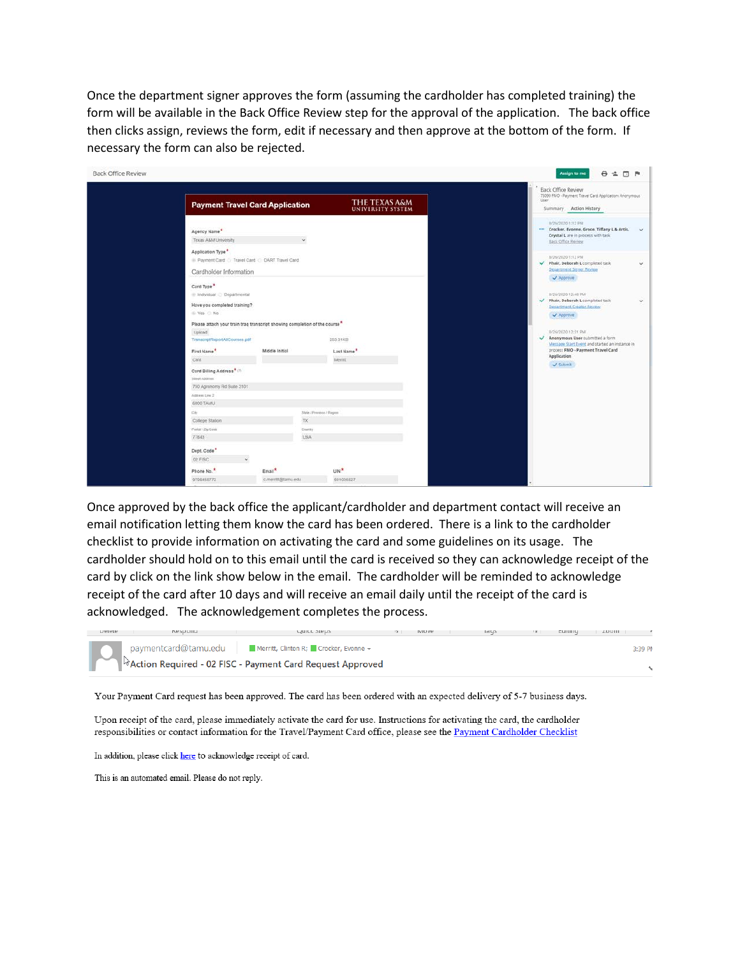Once the department signer approves the form (assuming the cardholder has completed training) the form will be available in the Back Office Review step for the approval of the application. The back office then clicks assign, reviews the form, edit if necessary and then approve at the bottom of the form. If necessary the form can also be rejected.

|                                                                                                                                     |                    |                                    | <b>Back Office Review</b><br>73090 FMO - Payment Travel Card Application: Anonymous<br>User:                                                                                                                          |              |
|-------------------------------------------------------------------------------------------------------------------------------------|--------------------|------------------------------------|-----------------------------------------------------------------------------------------------------------------------------------------------------------------------------------------------------------------------|--------------|
| <b>Payment Travel Card Application</b>                                                                                              |                    | THE TEXAS A&M<br>UNIVERSITY SYSTEM | Summary Action History                                                                                                                                                                                                |              |
| Agency Name*<br>Texas A&M University<br>Application Type<br>Payment Card C Travel Card C DART Travel Card<br>Cardholder Information | ü                  |                                    | 8/26/2020 1:12 PM<br>Crocker, Evonne, Groce, Tiffany L & Artis,<br>Crystal L are in process with task<br>Back Office Review<br>8/26/2020 1:12 PM<br>hair, Deborah L completed task<br><b>Department Siener Review</b> | v.<br>v.     |
| Card Type <sup>*</sup><br>Individual C Departmental                                                                                 |                    |                                    | Approve<br>8/26/2020 12:48 PM                                                                                                                                                                                         |              |
| Have you completed training?<br>₩ Yes © No                                                                                          |                    |                                    | Phair, Deborah L completed task<br>Department Creator Review<br>Approve                                                                                                                                               | $\checkmark$ |
| Please attach your train traq transcript showing completion of the course*<br>Upload<br>TranscriptReportAllCourses.pdf              |                    | 253.31KB                           | 8/26/2020 12:31 PM<br>Anonymous User submitted a form<br>Message Start Event and started an instance in                                                                                                               |              |
| First Name <sup>*</sup>                                                                                                             | Middle Initial     | Last Name <sup>*</sup>             | process FMO - Payment Travel Card<br>Application                                                                                                                                                                      |              |
| Clint.<br>Card Billing Address* (7)                                                                                                 |                    | Memt                               | Submit                                                                                                                                                                                                                |              |
| Street Address                                                                                                                      |                    |                                    |                                                                                                                                                                                                                       |              |
| 750 Agronomy Rd Suite 3101                                                                                                          |                    |                                    |                                                                                                                                                                                                                       |              |
| Address Line 2<br><b>6000 TAMU</b>                                                                                                  |                    |                                    |                                                                                                                                                                                                                       |              |
|                                                                                                                                     |                    |                                    |                                                                                                                                                                                                                       |              |
| $1$<br>College Station                                                                                                              | TX.                | State / Provence / Pagest          |                                                                                                                                                                                                                       |              |
| Postal / Zip Code                                                                                                                   | Country            |                                    |                                                                                                                                                                                                                       |              |
| 77843                                                                                                                               | <b>USA</b>         |                                    |                                                                                                                                                                                                                       |              |
| Dept. Code <sup>*</sup>                                                                                                             |                    |                                    |                                                                                                                                                                                                                       |              |
| $\omega$<br>02 FISC                                                                                                                 |                    |                                    |                                                                                                                                                                                                                       |              |
| Phone No.                                                                                                                           | Email <sup>*</sup> | UIN <sup>*</sup>                   |                                                                                                                                                                                                                       |              |
| 9798458772                                                                                                                          | c-merritt@tamu.edu | 501005527                          |                                                                                                                                                                                                                       |              |

Once approved by the back office the applicant/cardholder and department contact will receive an email notification letting them know the card has been ordered. There is a link to the cardholder checklist to provide information on activating the card and some guidelines on its usage. The cardholder should hold on to this email until the card is received so they can acknowledge receipt of the card by click on the link show below in the email. The cardholder will be reminded to acknowledge receipt of the card after 10 days and will receive an email daily until the receipt of the card is acknowledged. The acknowledgement completes the process.



Your Payment Card request has been approved. The card has been ordered with an expected delivery of 5-7 business days.

Upon receipt of the card, please immediately activate the card for use. Instructions for activating the card, the cardholder responsibilities or contact information for the Travel/Payment Card office, please see the Payment Cardholder Checklist

In addition, please click here to acknowledge receipt of card.

This is an automated email. Please do not reply.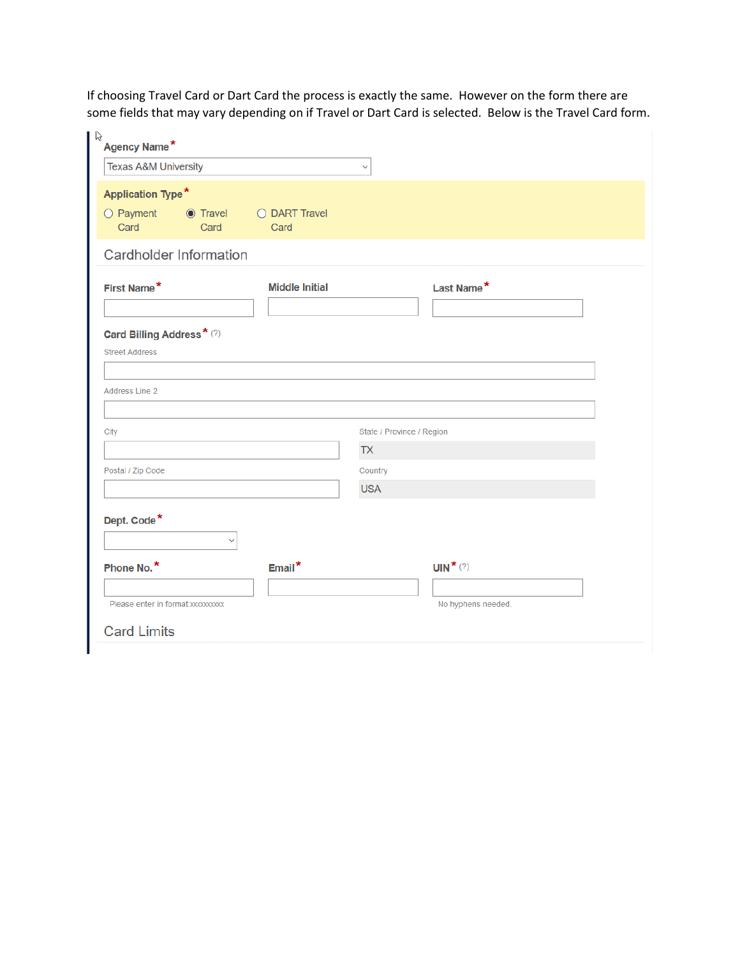If choosing Travel Card or Dart Card the process is exactly the same. However on the form there are some fields that may vary depending on if Travel or Dart Card is selected. Below is the Travel Card form.

| $\upbeta$<br>Agency Name*                                                        |                       |                           |  |  |  |  |
|----------------------------------------------------------------------------------|-----------------------|---------------------------|--|--|--|--|
| <b>Texas A&amp;M University</b>                                                  | $\checkmark$          |                           |  |  |  |  |
| <b>Application Type*</b><br>$\bigcirc$ Payment $\bigcirc$ Travel<br>Card<br>Card | O DART Travel<br>Card |                           |  |  |  |  |
| <b>Cardholder Information</b>                                                    |                       |                           |  |  |  |  |
| First Name*                                                                      | <b>Middle Initial</b> | Last Name*                |  |  |  |  |
| Card Billing Address*(?)<br><b>Street Address</b>                                |                       |                           |  |  |  |  |
| <b>Address Line 2</b>                                                            |                       |                           |  |  |  |  |
| City                                                                             |                       | State / Province / Region |  |  |  |  |
|                                                                                  | <b>TX</b>             |                           |  |  |  |  |
| Postal / Zip Code                                                                | Country               |                           |  |  |  |  |
|                                                                                  | <b>USA</b>            |                           |  |  |  |  |
| Dept. Code*                                                                      |                       |                           |  |  |  |  |
| Phone No.*                                                                       | Email*                | UIN <sup>*</sup> $(?)$    |  |  |  |  |
| Please enter in format: xxxxxxxxx                                                |                       | No hyphens needed.        |  |  |  |  |
| <b>Card Limits</b>                                                               |                       |                           |  |  |  |  |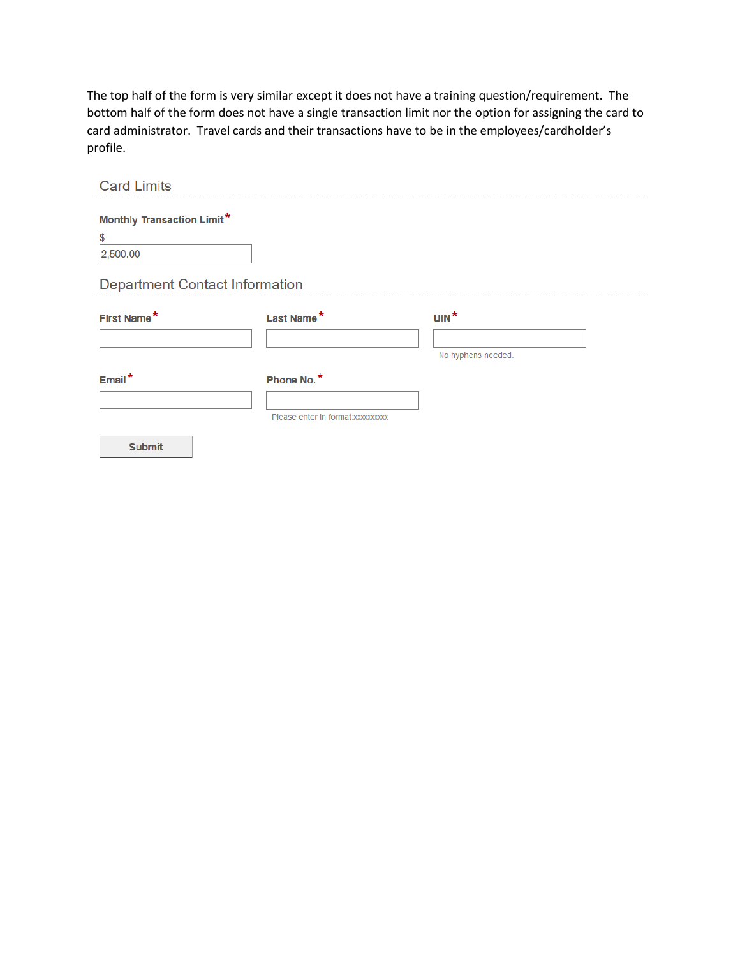The top half of the form is very similar except it does not have a training question/requirement. The bottom half of the form does not have a single transaction limit nor the option for assigning the card to card administrator. Travel cards and their transactions have to be in the employees/cardholder's profile.

| <b>Card Limits</b>                                  |                                                 |                              |
|-----------------------------------------------------|-------------------------------------------------|------------------------------|
| <b>Monthly Transaction Limit*</b><br>\$<br>2,500.00 |                                                 |                              |
| <b>Department Contact Information</b>               |                                                 |                              |
| First Name*                                         | Last Name*                                      | $UN^*$<br>No hyphens needed. |
| $Email*$                                            | Phone No.*<br>Please enter in format: xxxxxxxxx |                              |
| <b>Submit</b>                                       |                                                 |                              |